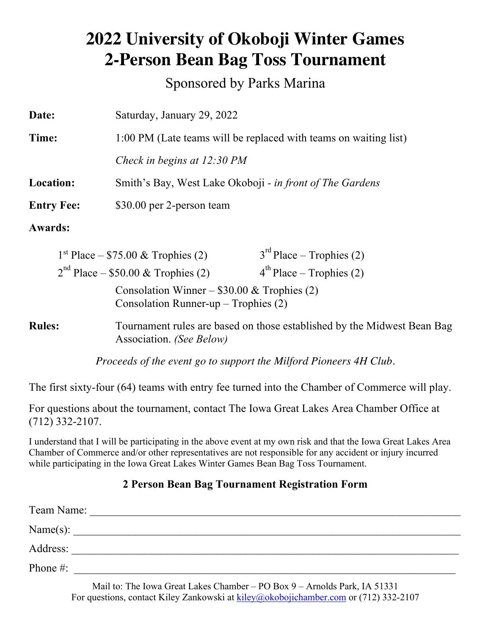## **2022 University of Okoboji Winter Games 2-Person Bean Bag Toss Tournament**

Sponsored by Parks Marina

| Date:             | Saturday, January 29, 2022                                       |  |  |
|-------------------|------------------------------------------------------------------|--|--|
| Time:             | 1:00 PM (Late teams will be replaced with teams on waiting list) |  |  |
|                   | Check in begins at 12:30 PM                                      |  |  |
| <b>Location:</b>  | Smith's Bay, West Lake Okoboji - in front of The Gardens         |  |  |
| <b>Entry Fee:</b> | \$30.00 per 2-person team                                        |  |  |

**Awards:**

|                                                                                         | $1st Place - $75.00 \& Trophies (2)$ | $3^{rd}$ Place – Trophies (2)                               |  |  |  |
|-----------------------------------------------------------------------------------------|--------------------------------------|-------------------------------------------------------------|--|--|--|
|                                                                                         | $2nd$ Place – \$50.00 & Trophies (2) | $4^{th}$ Place – Trophies (2)                               |  |  |  |
| Consolation Winner – $$30.00 \&$ Trophies (2)<br>Consolation Runner-up – Trophies $(2)$ |                                      |                                                             |  |  |  |
| ıles:                                                                                   |                                      | Tournament rules are based on those established by the Mid- |  |  |  |

**Rules:** Tournament rules are based on those established by the Midwest Bean Bag Association. *(See Below)*

*Proceeds of the event go to support the Milford Pioneers 4H Club.*

The first sixty-four (64) teams with entry fee turned into the Chamber of Commerce will play.

For questions about the tournament, contact The Iowa Great Lakes Area Chamber Office at (712) 332-2107.

I understand that I will be participating in the above event at my own risk and that the Iowa Great Lakes Area Chamber of Commerce and/or other representatives are not responsible for any accident or injury incurred while participating in the Iowa Great Lakes Winter Games Bean Bag Toss Tournament.

#### **2 Person Bean Bag Tournament Registration Form**

| Team Name:   |  |  |
|--------------|--|--|
| Name $(s)$ : |  |  |
| Address:     |  |  |
| Phone #:     |  |  |
|              |  |  |

Mail to: The Iowa Great Lakes Chamber – PO Box 9 – Arnolds Park, IA 51331 For questions, contact Kiley Zankowski at kiley@okobojichamber.com or (712) 332-2107